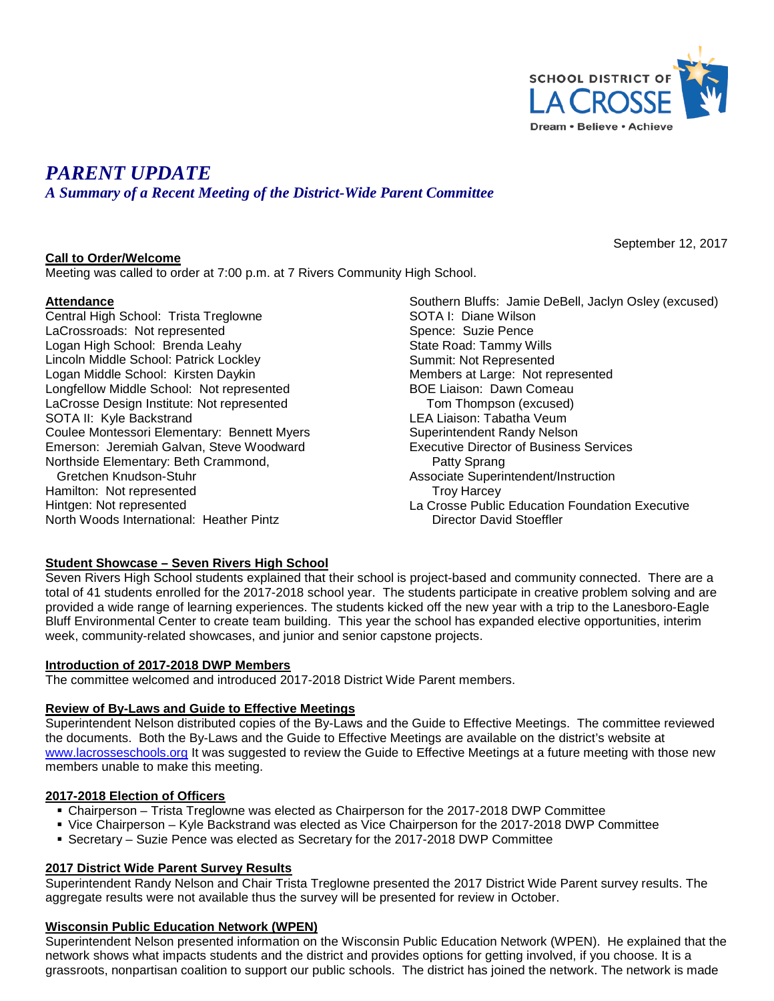

September 12, 2017

# *PARENT UPDATE*

*A Summary of a Recent Meeting of the District-Wide Parent Committee*

## **Call to Order/Welcome**

Meeting was called to order at 7:00 p.m. at 7 Rivers Community High School.

# **Attendance**

Central High School: Trista Treglowne LaCrossroads: Not represented Logan High School: Brenda Leahy Lincoln Middle School: Patrick Lockley Logan Middle School: Kirsten Daykin Longfellow Middle School: Not represented LaCrosse Design Institute: Not represented SOTA II: Kyle Backstrand Coulee Montessori Elementary: Bennett Myers Emerson: Jeremiah Galvan, Steve Woodward Northside Elementary: Beth Crammond, Gretchen Knudson-Stuhr Hamilton: Not represented Hintgen: Not represented North Woods International: Heather Pintz

Southern Bluffs: Jamie DeBell, Jaclyn Osley (excused) SOTA I: Diane Wilson Spence: Suzie Pence State Road: Tammy Wills Summit: Not Represented Members at Large: Not represented BOE Liaison: Dawn Comeau Tom Thompson (excused) LEA Liaison: Tabatha Veum Superintendent Randy Nelson Executive Director of Business Services Patty Sprang Associate Superintendent/Instruction Troy Harcey La Crosse Public Education Foundation Executive Director David Stoeffler

# **Student Showcase – Seven Rivers High School**

Seven Rivers High School students explained that their school is project-based and community connected. There are a total of 41 students enrolled for the 2017-2018 school year. The students participate in creative problem solving and are provided a wide range of learning experiences. The students kicked off the new year with a trip to the Lanesboro-Eagle Bluff Environmental Center to create team building. This year the school has expanded elective opportunities, interim week, community-related showcases, and junior and senior capstone projects.

### **Introduction of 2017-2018 DWP Members**

The committee welcomed and introduced 2017-2018 District Wide Parent members.

# **Review of By-Laws and Guide to Effective Meetings**

Superintendent Nelson distributed copies of the By-Laws and the Guide to Effective Meetings. The committee reviewed the documents. Both the By-Laws and the Guide to Effective Meetings are available on the district's website at [www.lacrosseschools.org](http://www.lacrosseschools.org/) It was suggested to review the Guide to Effective Meetings at a future meeting with those new members unable to make this meeting.

### **2017-2018 Election of Officers**

- Chairperson Trista Treglowne was elected as Chairperson for the 2017-2018 DWP Committee
- Vice Chairperson Kyle Backstrand was elected as Vice Chairperson for the 2017-2018 DWP Committee
- Secretary Suzie Pence was elected as Secretary for the 2017-2018 DWP Committee

# **2017 District Wide Parent Survey Results**

Superintendent Randy Nelson and Chair Trista Treglowne presented the 2017 District Wide Parent survey results. The aggregate results were not available thus the survey will be presented for review in October.

### **Wisconsin Public Education Network (WPEN)**

Superintendent Nelson presented information on the Wisconsin Public Education Network (WPEN). He explained that the network shows what impacts students and the district and provides options for getting involved, if you choose. It is a grassroots, nonpartisan coalition to support our public schools. The district has joined the network. The network is made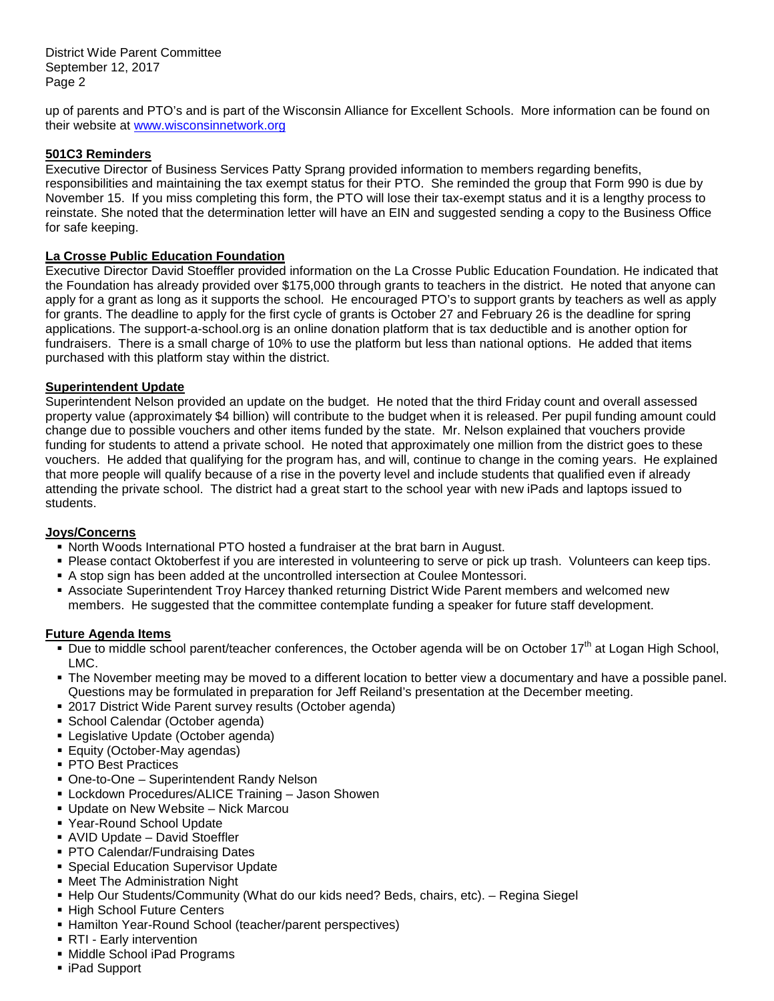District Wide Parent Committee September 12, 2017 Page 2

up of parents and PTO's and is part of the Wisconsin Alliance for Excellent Schools. More information can be found on their website at [www.wisconsinnetwork.org](http://www.wisconsinnetwork.org/)

## **501C3 Reminders**

Executive Director of Business Services Patty Sprang provided information to members regarding benefits, responsibilities and maintaining the tax exempt status for their PTO. She reminded the group that Form 990 is due by November 15. If you miss completing this form, the PTO will lose their tax-exempt status and it is a lengthy process to reinstate. She noted that the determination letter will have an EIN and suggested sending a copy to the Business Office for safe keeping.

## **La Crosse Public Education Foundation**

Executive Director David Stoeffler provided information on the La Crosse Public Education Foundation. He indicated that the Foundation has already provided over \$175,000 through grants to teachers in the district. He noted that anyone can apply for a grant as long as it supports the school. He encouraged PTO's to support grants by teachers as well as apply for grants. The deadline to apply for the first cycle of grants is October 27 and February 26 is the deadline for spring applications. The support-a-school.org is an online donation platform that is tax deductible and is another option for fundraisers. There is a small charge of 10% to use the platform but less than national options. He added that items purchased with this platform stay within the district.

## **Superintendent Update**

Superintendent Nelson provided an update on the budget. He noted that the third Friday count and overall assessed property value (approximately \$4 billion) will contribute to the budget when it is released. Per pupil funding amount could change due to possible vouchers and other items funded by the state. Mr. Nelson explained that vouchers provide funding for students to attend a private school. He noted that approximately one million from the district goes to these vouchers. He added that qualifying for the program has, and will, continue to change in the coming years. He explained that more people will qualify because of a rise in the poverty level and include students that qualified even if already attending the private school. The district had a great start to the school year with new iPads and laptops issued to students.

### **Joys/Concerns**

- North Woods International PTO hosted a fundraiser at the brat barn in August.
- Please contact Oktoberfest if you are interested in volunteering to serve or pick up trash. Volunteers can keep tips.
- A stop sign has been added at the uncontrolled intersection at Coulee Montessori.
- Associate Superintendent Troy Harcey thanked returning District Wide Parent members and welcomed new members. He suggested that the committee contemplate funding a speaker for future staff development.

### **Future Agenda Items**

- Due to middle school parent/teacher conferences, the October agenda will be on October 17<sup>th</sup> at Logan High School, LMC.
- The November meeting may be moved to a different location to better view a documentary and have a possible panel. Questions may be formulated in preparation for Jeff Reiland's presentation at the December meeting.
- 2017 District Wide Parent survey results (October agenda)
- School Calendar (October agenda)
- Legislative Update (October agenda)
- **Equity (October-May agendas)**
- **PTO Best Practices**
- One-to-One Superintendent Randy Nelson
- Lockdown Procedures/ALICE Training Jason Showen
- Update on New Website Nick Marcou
- Year-Round School Update
- AVID Update David Stoeffler
- **PTO Calendar/Fundraising Dates**
- **Special Education Supervisor Update**
- Meet The Administration Night
- Help Our Students/Community (What do our kids need? Beds, chairs, etc). Regina Siegel
- **High School Future Centers**
- Hamilton Year-Round School (teacher/parent perspectives)
- RTI Early intervention
- Middle School iPad Programs
- iPad Support